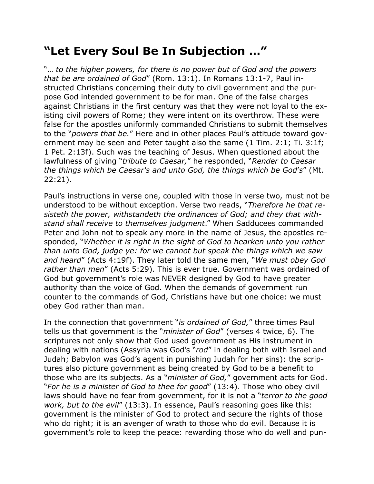## **"Let Every Soul Be In Subjection …"**

"… *to the higher powers, for there is no power but of God and the powers that be are ordained of God*" (Rom. 13:1). In Romans 13:1-7, Paul instructed Christians concerning their duty to civil government and the purpose God intended government to be for man. One of the false charges against Christians in the first century was that they were not loyal to the existing civil powers of Rome; they were intent on its overthrow. These were false for the apostles uniformly commanded Christians to submit themselves to the "*powers that be.*" Here and in other places Paul's attitude toward government may be seen and Peter taught also the same (1 Tim. 2:1; Ti. 3:1f; 1 Pet. 2:13f). Such was the teaching of Jesus. When questioned about the lawfulness of giving "*tribute to Caesar,*" he responded, "*Render to Caesar the things which be Caesar's and unto God, the things which be God*'*s*" (Mt. 22:21).

Paul's instructions in verse one, coupled with those in verse two, must not be understood to be without exception. Verse two reads, "*Therefore he that resisteth the power, withstandeth the ordinances of God; and they that withstand shall receive to themselves judgment*." When Sadducees commanded Peter and John not to speak any more in the name of Jesus, the apostles responded, "*Whether it is right in the sight of God to hearken unto you rather than unto God, judge ye: for we cannot but speak the things which we saw and heard*" (Acts 4:19f). They later told the same men, "*We must obey God rather than men*" (Acts 5:29). This is ever true. Government was ordained of God but government's role was NEVER designed by God to have greater authority than the voice of God. When the demands of government run counter to the commands of God, Christians have but one choice: we must obey God rather than man.

In the connection that government "*is ordained of God,*" three times Paul tells us that government is the "*minister of God*" (verses 4 twice, 6). The scriptures not only show that God used government as His instrument in dealing with nations (Assyria was God's "*rod*" in dealing both with Israel and Judah; Babylon was God's agent in punishing Judah for her sins): the scriptures also picture government as being created by God to be a benefit to those who are its subjects. As a "*minister of God,*" government acts for God. "*For he is a minister of God to thee for good*" (13:4). Those who obey civil laws should have no fear from government, for it is not a "*terror to the good work, but to the evil*" (13:3). In essence, Paul's reasoning goes like this: government is the minister of God to protect and secure the rights of those who do right; it is an avenger of wrath to those who do evil. Because it is government's role to keep the peace: rewarding those who do well and pun